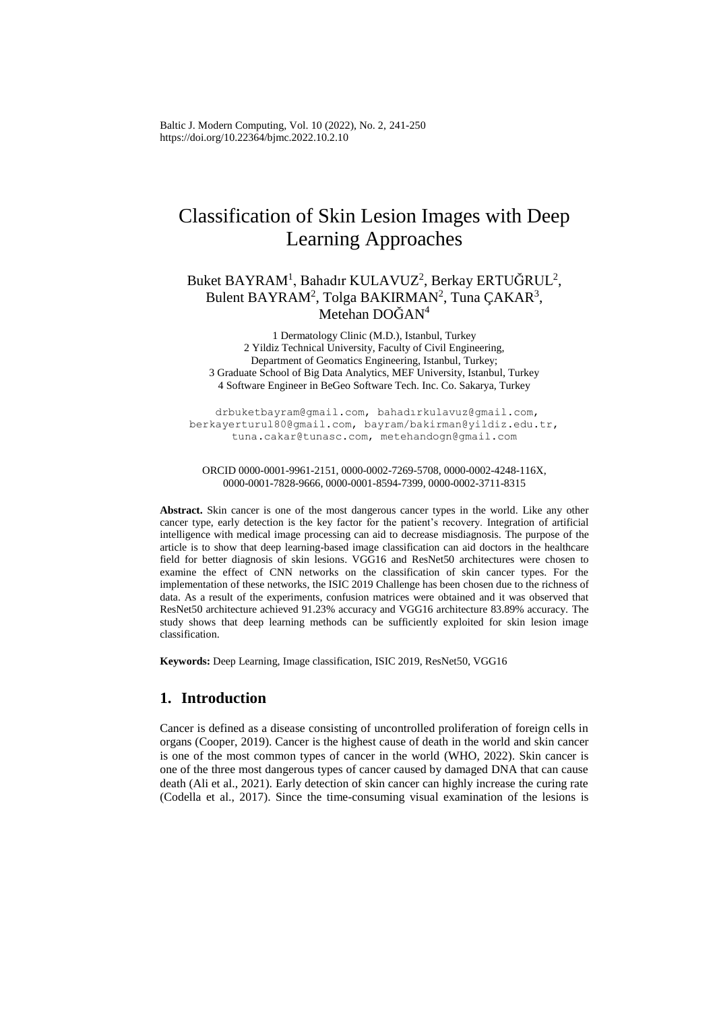Baltic J. Modern Computing, Vol. 10 (2022), No. 2, 241-250 <https://doi.org/10.22364/bjmc.2022.10.2.10>

# Classification of Skin Lesion Images with Deep Learning Approaches

# Buket BAYRAM<sup>1</sup>, Bahadır KULAVUZ<sup>2</sup>, Berkay ERTUĞRUL<sup>2</sup>, Bulent BAYRAM<sup>2</sup>, Tolga BAKIRMAN<sup>2</sup>, Tuna ÇAKAR<sup>3</sup>, Metehan DOĞAN<sup>4</sup>

 Dermatology Clinic (M.D.), Istanbul, Turkey Yildiz Technical University, Faculty of Civil Engineering, Department of Geomatics Engineering, Istanbul, Turkey; Graduate School of Big Data Analytics, MEF University, Istanbul, Turkey Software Engineer in BeGeo Software Tech. Inc. Co. Sakarya, Turkey

drbuketbayram@gmail.com, bahadırkulavuz@gmail.com, berkayerturul80@gmail.com, bayram/bakirman@yildiz.edu.tr, tuna.cakar@tunasc.com, metehandogn@gmail.com

ORCID 0000-0001-9961-2151, 0000-0002-7269-5708, 0000-0002-4248-116X, 0000-0001-7828-9666, 0000-0001-8594-7399, 0000-0002-3711-8315

**Abstract.** Skin cancer is one of the most dangerous cancer types in the world. Like any other cancer type, early detection is the key factor for the patient's recovery. Integration of artificial intelligence with medical image processing can aid to decrease misdiagnosis. The purpose of the article is to show that deep learning-based image classification can aid doctors in the healthcare field for better diagnosis of skin lesions. VGG16 and ResNet50 architectures were chosen to examine the effect of CNN networks on the classification of skin cancer types. For the implementation of these networks, the ISIC 2019 Challenge has been chosen due to the richness of data. As a result of the experiments, confusion matrices were obtained and it was observed that ResNet50 architecture achieved 91.23% accuracy and VGG16 architecture 83.89% accuracy. The study shows that deep learning methods can be sufficiently exploited for skin lesion image classification.

**Keywords:** Deep Learning, Image classification, ISIC 2019, ResNet50, VGG16

# **1. Introduction**

Cancer is defined as a disease consisting of uncontrolled proliferation of foreign cells in organs (Cooper, 2019). Cancer is the highest cause of death in the world and skin cancer is one of the most common types of cancer in the world (WHO, 2022). Skin cancer is one of the three most dangerous types of cancer caused by damaged DNA that can cause death (Ali et al., 2021). Early detection of skin cancer can highly increase the curing rate (Codella et al., 2017). Since the time-consuming visual examination of the lesions is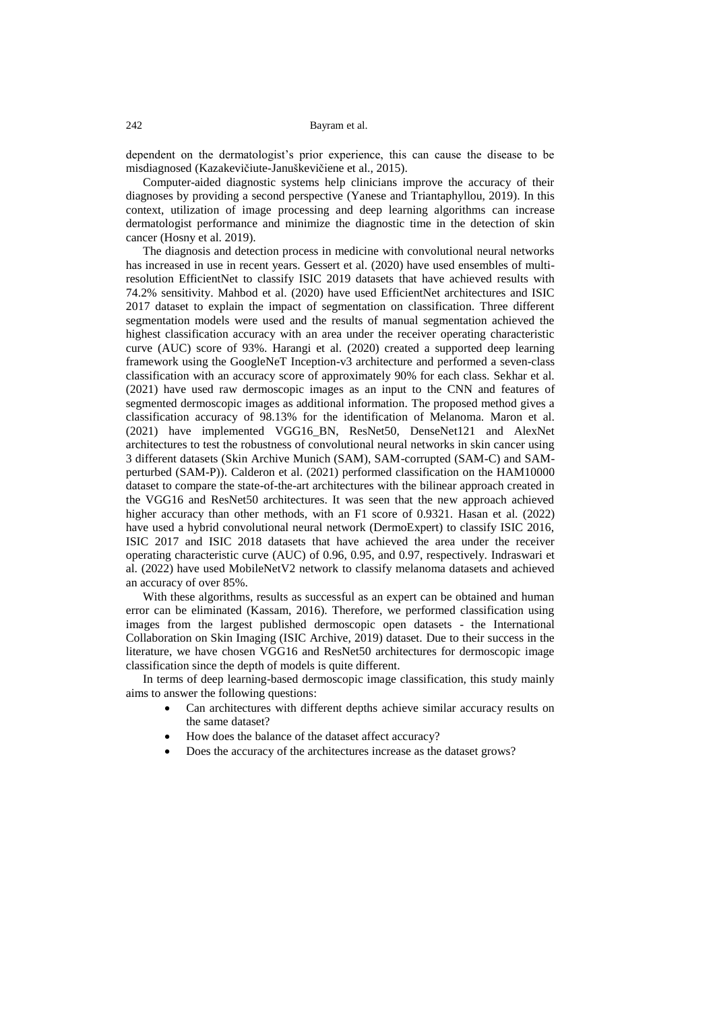dependent on the dermatologist's prior experience, this can cause the disease to be misdiagnosed (Kazakevičiute-Januškevičiene et al., 2015).

Computer-aided diagnostic systems help clinicians improve the accuracy of their diagnoses by providing a second perspective (Yanese and Triantaphyllou, 2019). In this context, utilization of image processing and deep learning algorithms can increase dermatologist performance and minimize the diagnostic time in the detection of skin cancer (Hosny et al. 2019).

The diagnosis and detection process in medicine with convolutional neural networks has increased in use in recent years. Gessert et al. (2020) have used ensembles of multiresolution EfficientNet to classify ISIC 2019 datasets that have achieved results with 74.2% sensitivity. Mahbod et al. (2020) have used EfficientNet architectures and ISIC 2017 dataset to explain the impact of segmentation on classification. Three different segmentation models were used and the results of manual segmentation achieved the highest classification accuracy with an area under the receiver operating characteristic curve (AUC) score of 93%. Harangi et al. (2020) created a supported deep learning framework using the GoogleNeT Inception-v3 architecture and performed a seven-class classification with an accuracy score of approximately 90% for each class. Sekhar et al. (2021) have used raw dermoscopic images as an input to the CNN and features of segmented dermoscopic images as additional information. The proposed method gives a classification accuracy of 98.13% for the identification of Melanoma. Maron et al. (2021) have implemented VGG16\_BN, ResNet50, DenseNet121 and AlexNet architectures to test the robustness of convolutional neural networks in skin cancer using 3 different datasets (Skin Archive Munich (SAM), SAM-corrupted (SAM-C) and SAMperturbed (SAM-P)). Calderon et al. (2021) performed classification on the HAM10000 dataset to compare the state-of-the-art architectures with the bilinear approach created in the VGG16 and ResNet50 architectures. It was seen that the new approach achieved higher accuracy than other methods, with an F1 score of 0.9321. Hasan et al. (2022) have used a hybrid convolutional neural network (DermoExpert) to classify ISIC 2016, ISIC 2017 and ISIC 2018 datasets that have achieved the area under the receiver operating characteristic curve (AUC) of 0.96, 0.95, and 0.97, respectively. Indraswari et al. (2022) have used MobileNetV2 network to classify melanoma datasets and achieved an accuracy of over 85%.

With these algorithms, results as successful as an expert can be obtained and human error can be eliminated (Kassam, 2016). Therefore, we performed classification using images from the largest published dermoscopic open datasets - the International Collaboration on Skin Imaging (ISIC Archive, 2019) dataset. Due to their success in the literature, we have chosen VGG16 and ResNet50 architectures for dermoscopic image classification since the depth of models is quite different.

In terms of deep learning-based dermoscopic image classification, this study mainly aims to answer the following questions:

- Can architectures with different depths achieve similar accuracy results on the same dataset?
- How does the balance of the dataset affect accuracy?
- Does the accuracy of the architectures increase as the dataset grows?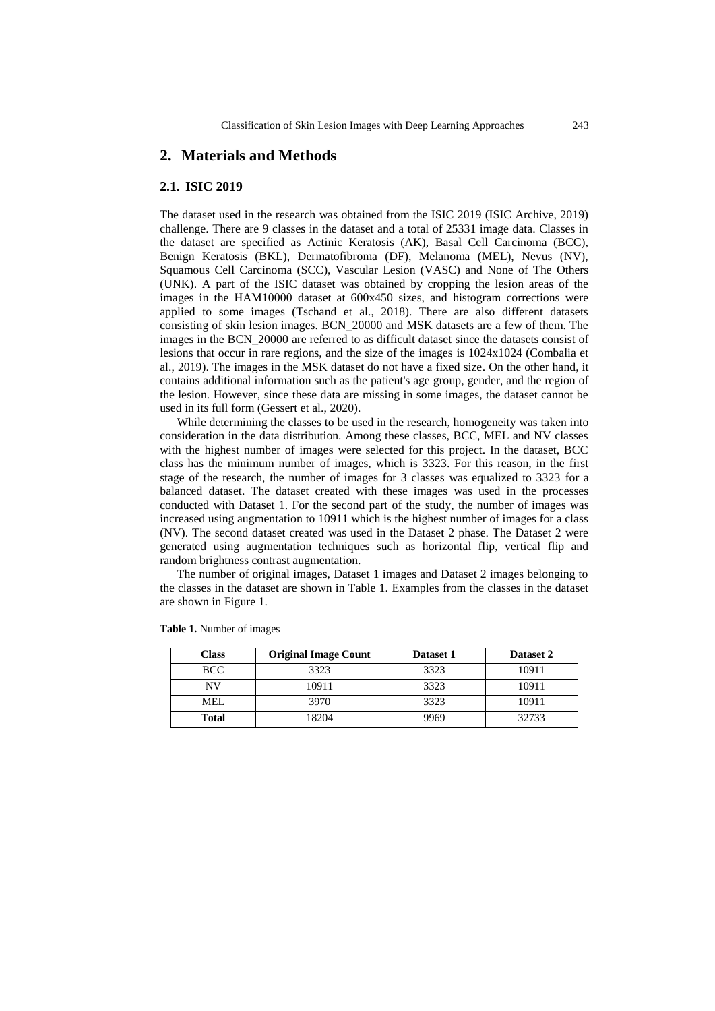### **2. Materials and Methods**

#### **2.1. ISIC 2019**

The dataset used in the research was obtained from the ISIC 2019 (ISIC Archive, 2019) challenge. There are 9 classes in the dataset and a total of 25331 image data. Classes in the dataset are specified as Actinic Keratosis (AK), Basal Cell Carcinoma (BCC), Benign Keratosis (BKL), Dermatofibroma (DF), Melanoma (MEL), Nevus (NV), Squamous Cell Carcinoma (SCC), Vascular Lesion (VASC) and None of The Others (UNK). A part of the ISIC dataset was obtained by cropping the lesion areas of the images in the HAM10000 dataset at 600x450 sizes, and histogram corrections were applied to some images (Tschand et al., 2018). There are also different datasets consisting of skin lesion images. BCN\_20000 and MSK datasets are a few of them. The images in the BCN\_20000 are referred to as difficult dataset since the datasets consist of lesions that occur in rare regions, and the size of the images is 1024x1024 (Combalia et al., 2019). The images in the MSK dataset do not have a fixed size. On the other hand, it contains additional information such as the patient's age group, gender, and the region of the lesion. However, since these data are missing in some images, the dataset cannot be used in its full form (Gessert et al., 2020).

While determining the classes to be used in the research, homogeneity was taken into consideration in the data distribution. Among these classes, BCC, MEL and NV classes with the highest number of images were selected for this project. In the dataset, BCC class has the minimum number of images, which is 3323. For this reason, in the first stage of the research, the number of images for 3 classes was equalized to 3323 for a balanced dataset. The dataset created with these images was used in the processes conducted with Dataset 1. For the second part of the study, the number of images was increased using augmentation to 10911 which is the highest number of images for a class (NV). The second dataset created was used in the Dataset 2 phase. The Dataset 2 were generated using augmentation techniques such as horizontal flip, vertical flip and random brightness contrast augmentation.

The number of original images, Dataset 1 images and Dataset 2 images belonging to the classes in the dataset are shown in Table 1. Examples from the classes in the dataset are shown in Figure 1.

| Class      | <b>Original Image Count</b> | Dataset 1 | Dataset 2 |  |
|------------|-----------------------------|-----------|-----------|--|
| <b>BCC</b> | 3323                        | 3323      | 10911     |  |
| NV         | 10911                       | 3323      | 10911     |  |
| MEL.       | 3970                        | 3323      | 10911     |  |
| Total      | 18204                       | 9969      | 32733     |  |

**Table 1.** Number of images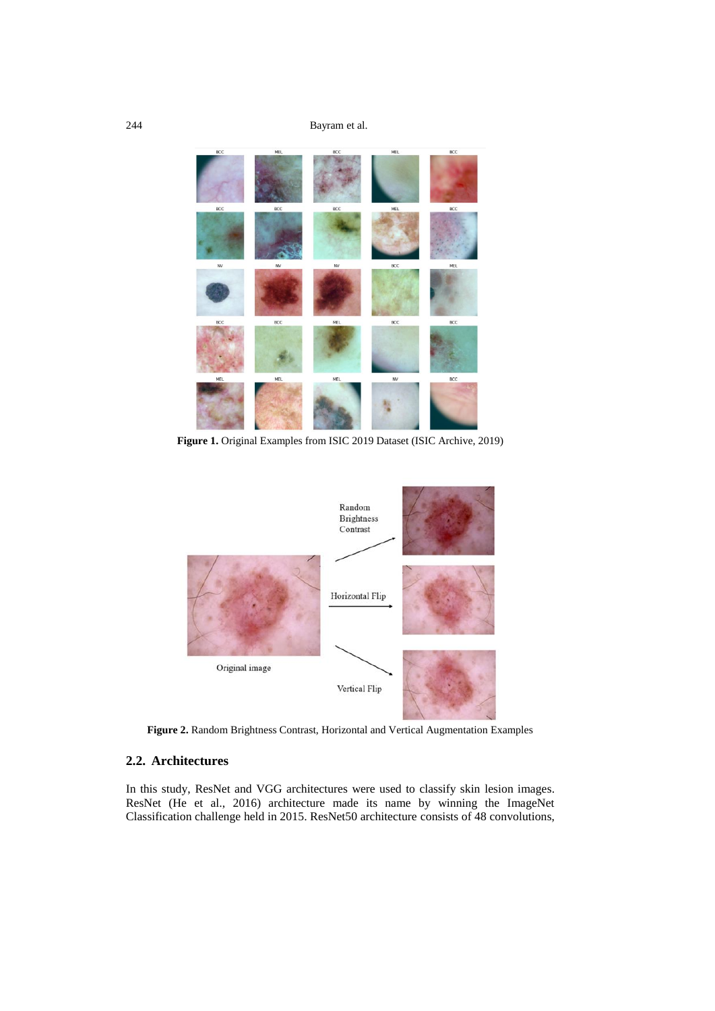244 Bayram et al.



**Figure 1.** Original Examples from ISIC 2019 Dataset (ISIC Archive, 2019)



**Figure 2.** Random Brightness Contrast, Horizontal and Vertical Augmentation Examples

# **2.2. Architectures**

In this study, ResNet and VGG architectures were used to classify skin lesion images. ResNet (He et al., 2016) architecture made its name by winning the ImageNet Classification challenge held in 2015. ResNet50 architecture consists of 48 convolutions,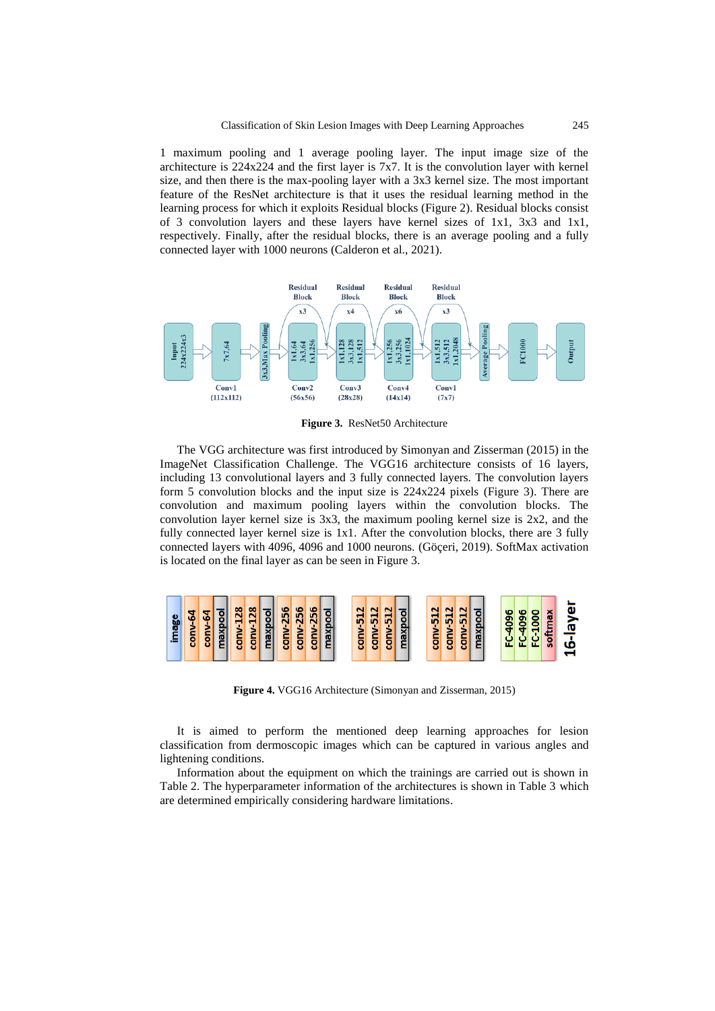1 maximum pooling and 1 average pooling layer. The input image size of the architecture is 224x224 and the first layer is 7x7. It is the convolution layer with kernel size, and then there is the max-pooling layer with a 3x3 kernel size. The most important feature of the ResNet architecture is that it uses the residual learning method in the learning process for which it exploits Residual blocks (Figure 2). Residual blocks consist of 3 convolution layers and these layers have kernel sizes of  $1x1$ ,  $3x3$  and  $1x1$ , respectively. Finally, after the residual blocks, there is an average pooling and a fully connected layer with 1000 neurons (Calderon et al., 2021).



**Figure 3.** ResNet50 Architecture

The VGG architecture was first introduced by Simonyan and Zisserman (2015) in the ImageNet Classification Challenge. The VGG16 architecture consists of 16 layers, including 13 convolutional layers and 3 fully connected layers. The convolution layers form 5 convolution blocks and the input size is 224x224 pixels (Figure 3). There are convolution and maximum pooling layers within the convolution blocks. The convolution layer kernel size is 3x3, the maximum pooling kernel size is 2x2, and the fully connected layer kernel size is 1x1. After the convolution blocks, there are 3 fully connected layers with 4096, 4096 and 1000 neurons. (Göçeri, 2019). SoftMax activation is located on the final layer as can be seen in Figure 3.



**Figure 4.** VGG16 Architecture (Simonyan and Zisserman, 2015)

It is aimed to perform the mentioned deep learning approaches for lesion classification from dermoscopic images which can be captured in various angles and lightening conditions.

Information about the equipment on which the trainings are carried out is shown in Table 2. The hyperparameter information of the architectures is shown in Table 3 which are determined empirically considering hardware limitations.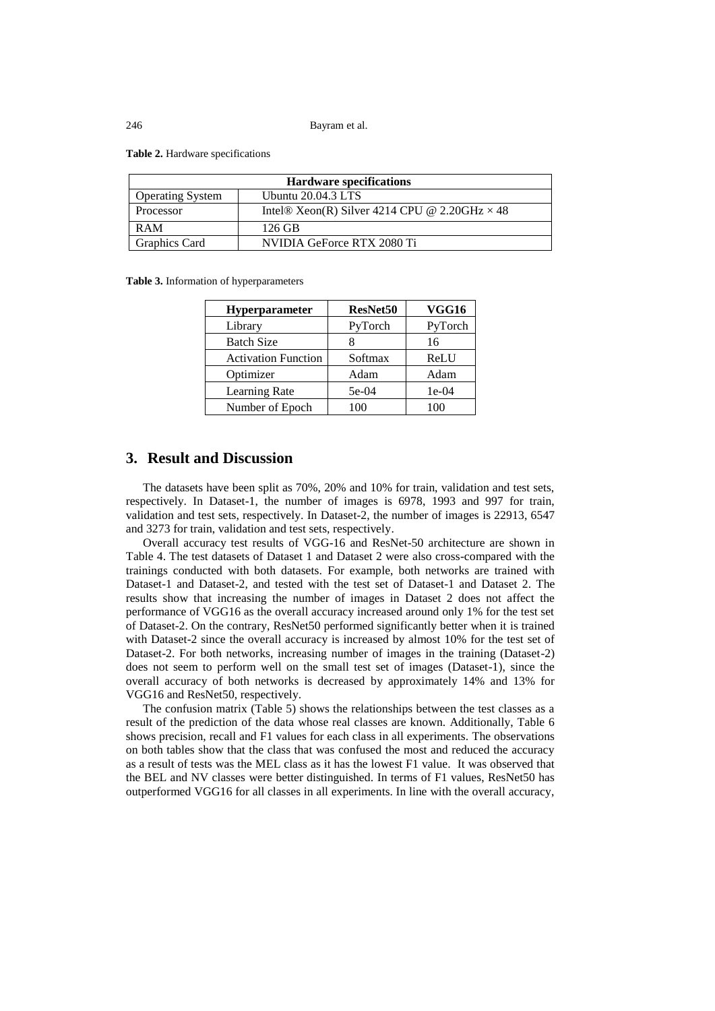**Table 2.** Hardware specifications

| <b>Hardware specifications</b> |                                                      |  |  |  |
|--------------------------------|------------------------------------------------------|--|--|--|
| <b>Operating System</b>        | Ubuntu $20.04.3$ LTS                                 |  |  |  |
| Processor                      | Intel® Xeon(R) Silver 4214 CPU @ 2.20GHz $\times$ 48 |  |  |  |
| <b>RAM</b>                     | 126 GB                                               |  |  |  |
| <b>Graphics Card</b>           | NVIDIA GeForce RTX 2080 Ti                           |  |  |  |

**Table 3.** Information of hyperparameters

| Hyperparameter             | <b>ResNet50</b> | VGG16   |  |
|----------------------------|-----------------|---------|--|
| Library                    | PyTorch         | PyTorch |  |
| <b>Batch Size</b>          |                 | 16      |  |
| <b>Activation Function</b> | Softmax         | ReLU    |  |
| Optimizer                  | Adam            | Adam    |  |
| Learning Rate              | 5e-04           | $1e-04$ |  |
| Number of Epoch            | 100             | 100     |  |

# **3. Result and Discussion**

The datasets have been split as 70%, 20% and 10% for train, validation and test sets, respectively. In Dataset-1, the number of images is 6978, 1993 and 997 for train, validation and test sets, respectively. In Dataset-2, the number of images is 22913, 6547 and 3273 for train, validation and test sets, respectively.

Overall accuracy test results of VGG-16 and ResNet-50 architecture are shown in Table 4. The test datasets of Dataset 1 and Dataset 2 were also cross-compared with the trainings conducted with both datasets. For example, both networks are trained with Dataset-1 and Dataset-2, and tested with the test set of Dataset-1 and Dataset 2. The results show that increasing the number of images in Dataset 2 does not affect the performance of VGG16 as the overall accuracy increased around only 1% for the test set of Dataset-2. On the contrary, ResNet50 performed significantly better when it is trained with Dataset-2 since the overall accuracy is increased by almost 10% for the test set of Dataset-2. For both networks, increasing number of images in the training (Dataset-2) does not seem to perform well on the small test set of images (Dataset-1), since the overall accuracy of both networks is decreased by approximately 14% and 13% for VGG16 and ResNet50, respectively.

The confusion matrix (Table 5) shows the relationships between the test classes as a result of the prediction of the data whose real classes are known. Additionally, Table 6 shows precision, recall and F1 values for each class in all experiments. The observations on both tables show that the class that was confused the most and reduced the accuracy as a result of tests was the MEL class as it has the lowest F1 value. It was observed that the BEL and NV classes were better distinguished. In terms of F1 values, ResNet50 has outperformed VGG16 for all classes in all experiments. In line with the overall accuracy,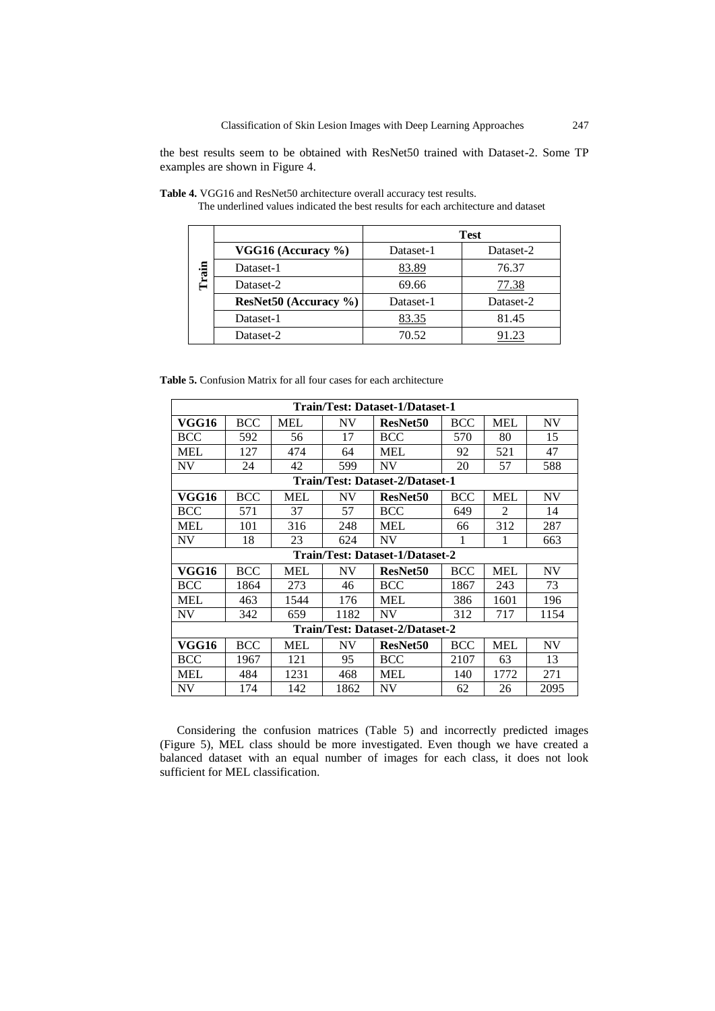the best results seem to be obtained with ResNet50 trained with Dataset-2. Some TP examples are shown in Figure 4.

|       |                             | <b>Test</b> |           |  |  |
|-------|-----------------------------|-------------|-----------|--|--|
|       | VGG16 (Accuracy $\%$ )      | Dataset-1   | Dataset-2 |  |  |
| Train | Dataset-1                   | 83.89       | 76.37     |  |  |
|       | Dataset-2                   | 69.66       | 77.38     |  |  |
|       | $ResNet50$ (Accuracy $\%$ ) | Dataset-1   | Dataset-2 |  |  |
|       | Dataset-1                   | 83.35       | 81.45     |  |  |
|       | Dataset-2                   | 70.52       |           |  |  |

**Table 4.** VGG16 and ResNet50 architecture overall accuracy test results.

The underlined values indicated the best results for each architecture and dataset

|  |  |  |  |  |  |  | <b>Table 5.</b> Confusion Matrix for all four cases for each architecture |
|--|--|--|--|--|--|--|---------------------------------------------------------------------------|
|--|--|--|--|--|--|--|---------------------------------------------------------------------------|

| Train/Test: Dataset-1/Dataset-1 |                                 |            |           |                                 |            |                |           |  |  |
|---------------------------------|---------------------------------|------------|-----------|---------------------------------|------------|----------------|-----------|--|--|
| VGG16                           | <b>BCC</b>                      | <b>MEL</b> | <b>NV</b> | ResNet50                        | <b>BCC</b> | <b>MEL</b>     | NV        |  |  |
| <b>BCC</b>                      | 592                             | 56         | 17        | <b>BCC</b>                      | 570        | 80             | 15        |  |  |
| <b>MEL</b>                      | 127                             | 474        | 64        | <b>MEL</b>                      | 92         | 521            | 47        |  |  |
| <b>NV</b>                       | 24                              | 42         | 599       | <b>NV</b>                       | 20         | 57             | 588       |  |  |
|                                 | Train/Test: Dataset-2/Dataset-1 |            |           |                                 |            |                |           |  |  |
| VGG16                           | <b>BCC</b>                      | <b>MEL</b> | <b>NV</b> | <b>ResNet50</b>                 | BCC        | <b>MEL</b>     | <b>NV</b> |  |  |
| <b>BCC</b>                      | 571                             | 37         | 57        | <b>BCC</b>                      | 649        | $\mathfrak{D}$ | 14        |  |  |
| <b>MEL</b>                      | 101                             | 316        | 248       | <b>MEL</b>                      | 66         | 312            | 287       |  |  |
| <b>NV</b>                       | 18                              | 23         | 624       | <b>NV</b>                       | 1          |                | 663       |  |  |
|                                 |                                 |            |           | Train/Test: Dataset-1/Dataset-2 |            |                |           |  |  |
| VGG16                           | <b>BCC</b>                      | <b>MEL</b> | <b>NV</b> | ResNet50                        | <b>BCC</b> | <b>MEL</b>     | <b>NV</b> |  |  |
| <b>BCC</b>                      | 1864                            | 273        | 46        | <b>BCC</b>                      | 1867       | 243            | 73        |  |  |
| <b>MEL</b>                      | 463                             | 1544       | 176       | <b>MEL</b>                      | 386        | 1601           | 196       |  |  |
| <b>NV</b>                       | 342                             | 659        | 1182      | <b>NV</b>                       | 312        | 717            | 1154      |  |  |
| Train/Test: Dataset-2/Dataset-2 |                                 |            |           |                                 |            |                |           |  |  |
| VGG16                           | <b>BCC</b>                      | <b>MEL</b> | <b>NV</b> | <b>ResNet50</b>                 | <b>BCC</b> | <b>MEL</b>     | <b>NV</b> |  |  |
| <b>BCC</b>                      | 1967                            | 121        | 95        | <b>BCC</b>                      | 2107       | 63             | 13        |  |  |
| MEL                             | 484                             | 1231       | 468       | <b>MEL</b>                      | 140        | 1772           | 271       |  |  |
| NV                              | 174                             | 142        | 1862      | <b>NV</b>                       | 62         | 26             | 2095      |  |  |

Considering the confusion matrices (Table 5) and incorrectly predicted images (Figure 5), MEL class should be more investigated. Even though we have created a balanced dataset with an equal number of images for each class, it does not look sufficient for MEL classification.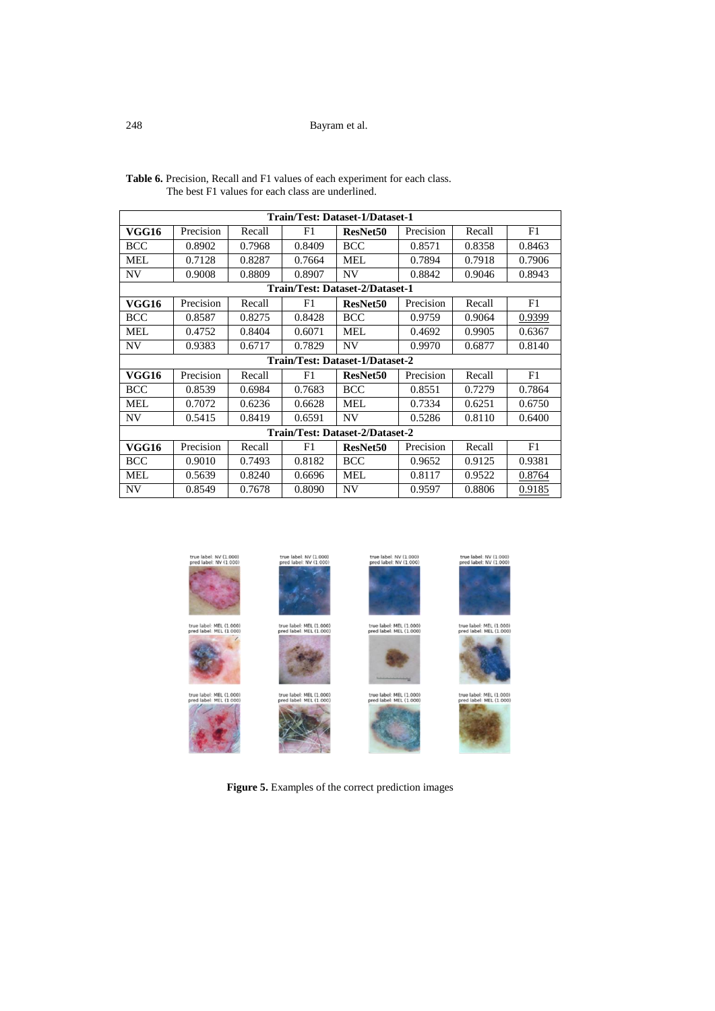### 248 Bayram et al.

| Train/Test: Dataset-1/Dataset-1 |           |        |        |                                 |           |        |        |  |
|---------------------------------|-----------|--------|--------|---------------------------------|-----------|--------|--------|--|
| VGG16                           | Precision | Recall | F1     | ResNet <sub>50</sub>            | Precision | Recall | F1     |  |
| <b>BCC</b>                      | 0.8902    | 0.7968 | 0.8409 | <b>BCC</b>                      | 0.8571    | 0.8358 | 0.8463 |  |
| <b>MEL</b>                      | 0.7128    | 0.8287 | 0.7664 | <b>MEL</b>                      | 0.7894    | 0.7918 | 0.7906 |  |
| <b>NV</b>                       | 0.9008    | 0.8809 | 0.8907 | NV                              | 0.8842    | 0.9046 | 0.8943 |  |
|                                 |           |        |        | Train/Test: Dataset-2/Dataset-1 |           |        |        |  |
| VGG16                           | Precision | Recall | F1     | ResNet50                        | Precision | Recall | F1     |  |
| <b>BCC</b>                      | 0.8587    | 0.8275 | 0.8428 | <b>BCC</b>                      | 0.9759    | 0.9064 | 0.9399 |  |
| MEL.                            | 0.4752    | 0.8404 | 0.6071 | MEL.                            | 0.4692    | 0.9905 | 0.6367 |  |
| NV                              | 0.9383    | 0.6717 | 0.7829 | <b>NV</b>                       | 0.9970    | 0.6877 | 0.8140 |  |
|                                 |           |        |        | Train/Test: Dataset-1/Dataset-2 |           |        |        |  |
| <b>VGG16</b>                    | Precision | Recall | F1     | <b>ResNet50</b>                 | Precision | Recall | F1     |  |
| <b>BCC</b>                      | 0.8539    | 0.6984 | 0.7683 | <b>BCC</b>                      | 0.8551    | 0.7279 | 0.7864 |  |
| MEL.                            | 0.7072    | 0.6236 | 0.6628 | MEL.                            | 0.7334    | 0.6251 | 0.6750 |  |
| NV                              | 0.5415    | 0.8419 | 0.6591 | <b>NV</b>                       | 0.5286    | 0.8110 | 0.6400 |  |
| Train/Test: Dataset-2/Dataset-2 |           |        |        |                                 |           |        |        |  |
| <b>VGG16</b>                    | Precision | Recall | F1     | ResNet <sub>50</sub>            | Precision | Recall | F1     |  |
| <b>BCC</b>                      | 0.9010    | 0.7493 | 0.8182 | <b>BCC</b>                      | 0.9652    | 0.9125 | 0.9381 |  |
| <b>MEL</b>                      | 0.5639    | 0.8240 | 0.6696 | MEL.                            | 0.8117    | 0.9522 | 0.8764 |  |
| NV                              | 0.8549    | 0.7678 | 0.8090 | <b>NV</b>                       | 0.9597    | 0.8806 | 0.9185 |  |

**Table 6.** Precision, Recall and F1 values of each experiment for each class. The best F1 values for each class are underlined.



**Figure 5.** Examples of the correct prediction images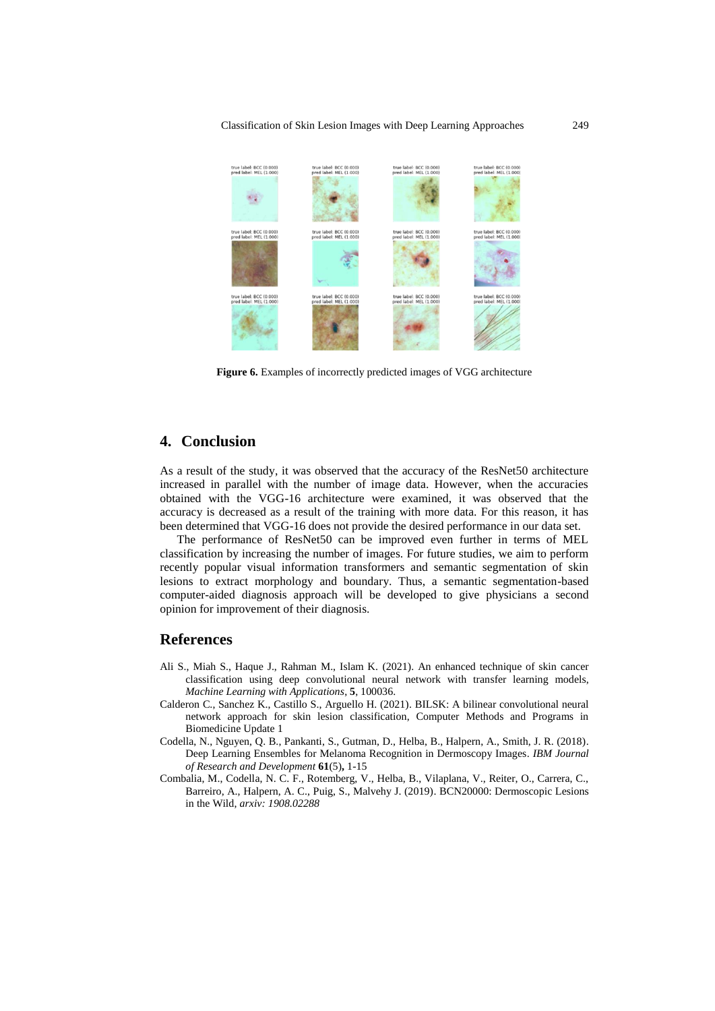Classification of Skin Lesion Images with Deep Learning Approaches 249



**Figure 6.** Examples of incorrectly predicted images of VGG architecture

# **4. Conclusion**

As a result of the study, it was observed that the accuracy of the ResNet50 architecture increased in parallel with the number of image data. However, when the accuracies obtained with the VGG-16 architecture were examined, it was observed that the accuracy is decreased as a result of the training with more data. For this reason, it has been determined that VGG-16 does not provide the desired performance in our data set.

The performance of ResNet50 can be improved even further in terms of MEL classification by increasing the number of images. For future studies, we aim to perform recently popular visual information transformers and semantic segmentation of skin lesions to extract morphology and boundary. Thus, a semantic segmentation-based computer-aided diagnosis approach will be developed to give physicians a second opinion for improvement of their diagnosis.

### **References**

- Ali S., Miah S., Haque J., Rahman M., Islam K. (2021). An enhanced technique of skin cancer classification using deep convolutional neural network with transfer learning models, *Machine Learning with Applications*, **5**, 100036.
- Calderon C., Sanchez K., Castillo S., Arguello H. (2021). BILSK: A bilinear convolutional neural network approach for skin lesion classification, Computer Methods and Programs in Biomedicine Update 1
- Codella, N., Nguyen, Q. B., Pankanti, S., Gutman, D., Helba, B., Halpern, A., Smith, J. R. (2018). Deep Learning Ensembles for Melanoma Recognition in Dermoscopy Images. *IBM Journal of Research and Development* **61**(5)**,** 1-15
- Combalia, M., Codella, N. C. F., Rotemberg, V., Helba, B., Vilaplana, V., Reiter, O., Carrera, C., Barreiro, A., Halpern, A. C., Puig, S., Malvehy J. (2019). BCN20000: Dermoscopic Lesions in the Wild, *arxiv: 1908.02288*